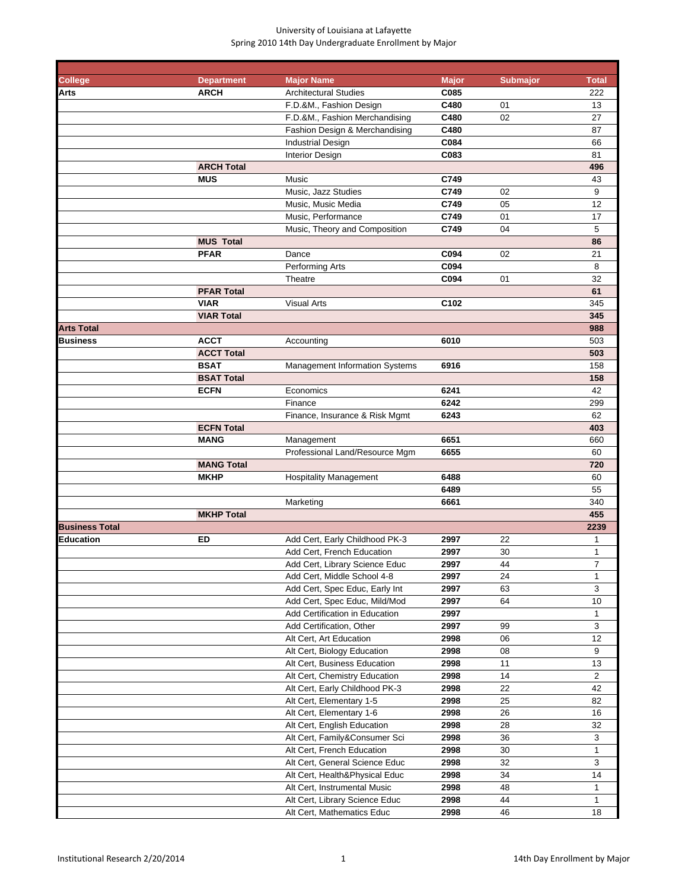| <b>College</b>        | <b>Department</b> | <b>Major Name</b>                                           | <b>Major</b> | <b>Submajor</b> | <b>Total</b>   |
|-----------------------|-------------------|-------------------------------------------------------------|--------------|-----------------|----------------|
| Arts                  | <b>ARCH</b>       | <b>Architectural Studies</b>                                | C085         |                 | 222            |
|                       |                   | F.D.&M., Fashion Design                                     | C480         | 01              | 13             |
|                       |                   | F.D.&M., Fashion Merchandising                              | C480         | 02              | 27             |
|                       |                   | Fashion Design & Merchandising                              | C480         |                 | 87             |
|                       |                   | <b>Industrial Design</b>                                    | C084         |                 | 66             |
|                       |                   | <b>Interior Design</b>                                      | C083         |                 | 81             |
|                       | <b>ARCH Total</b> |                                                             |              |                 | 496            |
|                       | <b>MUS</b>        | Music                                                       | C749         |                 | 43             |
|                       |                   | Music, Jazz Studies                                         | C749         | 02              | 9              |
|                       |                   | Music, Music Media                                          | C749         | 05              | 12             |
|                       |                   | Music, Performance<br>Music, Theory and Composition         | C749<br>C749 | 01<br>04        | 17<br>5        |
|                       | <b>MUS Total</b>  |                                                             |              |                 | 86             |
|                       | <b>PFAR</b>       | Dance                                                       | C094         | 02              | 21             |
|                       |                   | Performing Arts                                             | C094         |                 | 8              |
|                       |                   | Theatre                                                     | C094         | 01              | 32             |
|                       | <b>PFAR Total</b> |                                                             |              |                 | 61             |
|                       | <b>VIAR</b>       | <b>Visual Arts</b>                                          | C102         |                 | 345            |
|                       | <b>VIAR Total</b> |                                                             |              |                 | 345            |
| Arts Total            |                   |                                                             |              |                 | 988            |
| <b>Business</b>       | <b>ACCT</b>       | Accounting                                                  | 6010         |                 | 503            |
|                       | <b>ACCT Total</b> |                                                             |              |                 | 503            |
|                       | <b>BSAT</b>       | <b>Management Information Systems</b>                       | 6916         |                 | 158            |
|                       | <b>BSAT Total</b> |                                                             |              |                 | 158            |
|                       | <b>ECFN</b>       | Economics                                                   | 6241         |                 | 42             |
|                       |                   | Finance                                                     | 6242         |                 | 299            |
|                       |                   | Finance, Insurance & Risk Mgmt                              | 6243         |                 | 62             |
|                       | <b>ECFN Total</b> |                                                             |              |                 | 403            |
|                       | <b>MANG</b>       | Management                                                  | 6651         |                 | 660            |
|                       |                   | Professional Land/Resource Mgm                              | 6655         |                 | 60             |
|                       | <b>MANG Total</b> |                                                             |              |                 | 720            |
|                       | <b>MKHP</b>       | <b>Hospitality Management</b>                               | 6488         |                 | 60             |
|                       |                   |                                                             | 6489         |                 | 55             |
|                       |                   | Marketing                                                   | 6661         |                 | 340            |
|                       | <b>MKHP Total</b> |                                                             |              |                 | 455            |
| <b>Business Total</b> |                   |                                                             |              |                 | 2239           |
| Education             | ED                | Add Cert, Early Childhood PK-3                              | 2997         | 22              | 1              |
|                       |                   | Add Cert, French Education                                  | 2997         | 30              | 1              |
|                       |                   | Add Cert, Library Science Educ                              | 2997         | 44              | $\overline{7}$ |
|                       |                   | Add Cert, Middle School 4-8                                 | 2997         | 24              | 1              |
|                       |                   | Add Cert, Spec Educ, Early Int                              | 2997         | 63              | 3              |
|                       |                   | Add Cert, Spec Educ, Mild/Mod                               | 2997         | 64              | 10             |
|                       |                   | Add Certification in Education                              | 2997         |                 | 1              |
|                       |                   | Add Certification, Other<br>Alt Cert, Art Education         | 2997         | 99              | 3<br>12        |
|                       |                   |                                                             | 2998<br>2998 | 06<br>08        | 9              |
|                       |                   | Alt Cert, Biology Education<br>Alt Cert, Business Education | 2998         |                 | 13             |
|                       |                   | Alt Cert, Chemistry Education                               | 2998         | 11<br>14        | $\overline{2}$ |
|                       |                   | Alt Cert, Early Childhood PK-3                              | 2998         | 22              | 42             |
|                       |                   | Alt Cert, Elementary 1-5                                    | 2998         | 25              | 82             |
|                       |                   | Alt Cert, Elementary 1-6                                    | 2998         | 26              | 16             |
|                       |                   | Alt Cert, English Education                                 | 2998         | 28              | 32             |
|                       |                   | Alt Cert, Family&Consumer Sci                               | 2998         | 36              | 3              |
|                       |                   | Alt Cert, French Education                                  | 2998         | 30              | 1              |
|                       |                   | Alt Cert, General Science Educ                              | 2998         | 32              | 3              |
|                       |                   | Alt Cert, Health&Physical Educ                              | 2998         | 34              | 14             |
|                       |                   | Alt Cert, Instrumental Music                                | 2998         | 48              | 1              |
|                       |                   | Alt Cert, Library Science Educ                              | 2998         | 44              | 1              |
|                       |                   | Alt Cert, Mathematics Educ                                  | 2998         | 46              | 18             |
|                       |                   |                                                             |              |                 |                |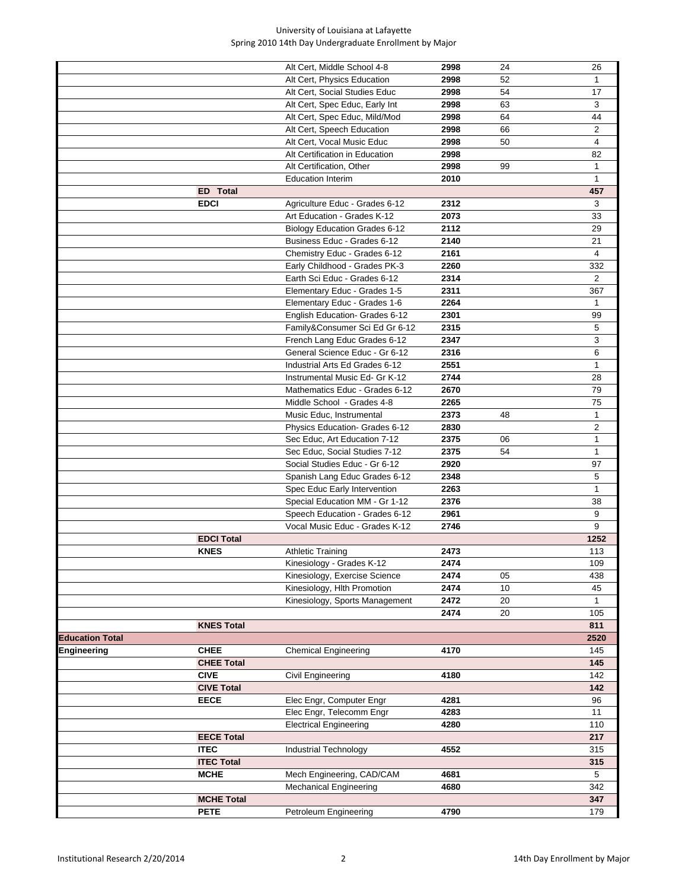|                        |                   | Alt Cert, Middle School 4-8          | 2998 | 24 | 26             |
|------------------------|-------------------|--------------------------------------|------|----|----------------|
|                        |                   | Alt Cert, Physics Education          | 2998 | 52 |                |
|                        |                   | Alt Cert, Social Studies Educ        | 2998 | 54 | 17             |
|                        |                   | Alt Cert, Spec Educ, Early Int       | 2998 | 63 | 3              |
|                        |                   | Alt Cert, Spec Educ, Mild/Mod        | 2998 | 64 | 44             |
|                        |                   | Alt Cert, Speech Education           | 2998 | 66 | $\overline{2}$ |
|                        |                   | Alt Cert, Vocal Music Educ           | 2998 | 50 | 4              |
|                        |                   | Alt Certification in Education       | 2998 |    | 82             |
|                        |                   | Alt Certification, Other             | 2998 | 99 | 1              |
|                        |                   | <b>Education Interim</b>             | 2010 |    | 1              |
|                        | <b>ED</b> Total   |                                      |      |    | 457            |
|                        |                   |                                      |      |    |                |
|                        | <b>EDCI</b>       | Agriculture Educ - Grades 6-12       | 2312 |    | 3              |
|                        |                   | Art Education - Grades K-12          | 2073 |    | 33             |
|                        |                   | <b>Biology Education Grades 6-12</b> | 2112 |    | 29             |
|                        |                   | Business Educ - Grades 6-12          | 2140 |    | 21             |
|                        |                   | Chemistry Educ - Grades 6-12         | 2161 |    | 4              |
|                        |                   | Early Childhood - Grades PK-3        | 2260 |    | 332            |
|                        |                   | Earth Sci Educ - Grades 6-12         | 2314 |    | $\overline{2}$ |
|                        |                   | Elementary Educ - Grades 1-5         | 2311 |    | 367            |
|                        |                   | Elementary Educ - Grades 1-6         | 2264 |    | $\mathbf{1}$   |
|                        |                   | English Education- Grades 6-12       | 2301 |    | 99             |
|                        |                   | Family&Consumer Sci Ed Gr 6-12       | 2315 |    | 5              |
|                        |                   | French Lang Educ Grades 6-12         | 2347 |    | 3              |
|                        |                   | General Science Educ - Gr 6-12       | 2316 |    | 6              |
|                        |                   | Industrial Arts Ed Grades 6-12       | 2551 |    | $\mathbf{1}$   |
|                        |                   | Instrumental Music Ed- Gr K-12       | 2744 |    | 28             |
|                        |                   | Mathematics Educ - Grades 6-12       | 2670 |    | 79             |
|                        |                   | Middle School - Grades 4-8           | 2265 |    | 75             |
|                        |                   | Music Educ, Instrumental             | 2373 | 48 | 1              |
|                        |                   | Physics Education- Grades 6-12       | 2830 |    | $\overline{2}$ |
|                        |                   | Sec Educ, Art Education 7-12         | 2375 | 06 | $\mathbf{1}$   |
|                        |                   | Sec Educ, Social Studies 7-12        | 2375 | 54 | $\mathbf{1}$   |
|                        |                   |                                      | 2920 |    |                |
|                        |                   | Social Studies Educ - Gr 6-12        |      |    | 97             |
|                        |                   | Spanish Lang Educ Grades 6-12        | 2348 |    | 5              |
|                        |                   | Spec Educ Early Intervention         | 2263 |    | 1              |
|                        |                   | Special Education MM - Gr 1-12       | 2376 |    | 38             |
|                        |                   | Speech Education - Grades 6-12       | 2961 |    | 9              |
|                        |                   | Vocal Music Educ - Grades K-12       | 2746 |    | 9              |
|                        | <b>EDCI Total</b> |                                      |      |    | 1252           |
|                        | <b>KNES</b>       | <b>Athletic Training</b>             | 2473 |    | 113            |
|                        |                   | Kinesiology - Grades K-12            | 2474 |    | 109            |
|                        |                   | Kinesiology, Exercise Science        | 2474 | 05 | 438            |
|                        |                   | Kinesiology, Hlth Promotion          | 2474 | 10 | 45             |
|                        |                   | Kinesiology, Sports Management       | 2472 | 20 | $\mathbf{1}$   |
|                        |                   |                                      | 2474 | 20 | 105            |
|                        | <b>KNES Total</b> |                                      |      |    | 811            |
| <b>Education Total</b> |                   |                                      |      |    | 2520           |
| Engineering            | <b>CHEE</b>       | <b>Chemical Engineering</b>          | 4170 |    | 145            |
|                        | <b>CHEE Total</b> |                                      |      |    | 145            |
|                        | <b>CIVE</b>       | Civil Engineering                    | 4180 |    | 142            |
|                        | <b>CIVE Total</b> |                                      |      |    | 142            |
|                        | <b>EECE</b>       | Elec Engr, Computer Engr             | 4281 |    | 96             |
|                        |                   | Elec Engr, Telecomm Engr             | 4283 |    | 11             |
|                        |                   | <b>Electrical Engineering</b>        | 4280 |    | 110            |
|                        | <b>EECE Total</b> |                                      |      |    | 217            |
|                        | <b>ITEC</b>       |                                      | 4552 |    | 315            |
|                        |                   | Industrial Technology                |      |    |                |
|                        | <b>ITEC Total</b> |                                      |      |    | 315            |
|                        | <b>MCHE</b>       | Mech Engineering, CAD/CAM            | 4681 |    | 5              |
|                        |                   | <b>Mechanical Engineering</b>        | 4680 |    | 342            |
|                        | <b>MCHE Total</b> |                                      |      |    | 347            |
|                        | <b>PETE</b>       | Petroleum Engineering                | 4790 |    | 179            |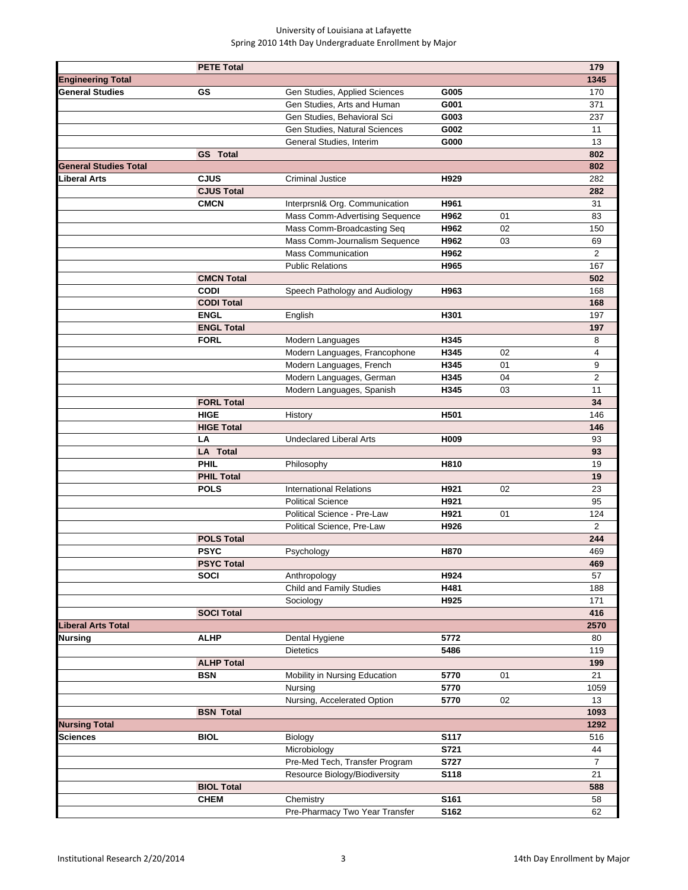|                              | <b>PETE Total</b> |                                 |             |    | 179            |
|------------------------------|-------------------|---------------------------------|-------------|----|----------------|
| <b>Engineering Total</b>     |                   |                                 |             |    | 1345           |
| <b>General Studies</b>       | GS                | Gen Studies, Applied Sciences   | G005        |    | 170            |
|                              |                   | Gen Studies, Arts and Human     | G001        |    | 371            |
|                              |                   | Gen Studies, Behavioral Sci     | G003        |    | 237            |
|                              |                   | Gen Studies, Natural Sciences   | G002        |    | 11             |
|                              |                   | General Studies, Interim        | G000        |    | 13             |
|                              | <b>GS</b> Total   |                                 |             |    | 802            |
| <b>General Studies Total</b> |                   |                                 |             |    | 802            |
| Liberal Arts                 | <b>CJUS</b>       | <b>Criminal Justice</b>         | H929        |    | 282            |
|                              | <b>CJUS Total</b> |                                 |             |    | 282            |
|                              | <b>CMCN</b>       | Interprsnl& Org. Communication  | H961        |    | 31             |
|                              |                   | Mass Comm-Advertising Sequence  | H962        | 01 | 83             |
|                              |                   | Mass Comm-Broadcasting Seq      | H962        | 02 | 150            |
|                              |                   | Mass Comm-Journalism Sequence   | H962        | 03 | 69             |
|                              |                   | <b>Mass Communication</b>       | H962        |    | $\overline{2}$ |
|                              |                   | <b>Public Relations</b>         | H965        |    | 167            |
|                              | <b>CMCN Total</b> |                                 |             |    | 502            |
|                              | <b>CODI</b>       | Speech Pathology and Audiology  | H963        |    | 168            |
|                              | <b>CODI Total</b> |                                 |             |    | 168            |
|                              | <b>ENGL</b>       | English                         | H301        |    | 197            |
|                              | <b>ENGL Total</b> |                                 |             |    | 197            |
|                              | <b>FORL</b>       | Modern Languages                | H345        |    | 8              |
|                              |                   | Modern Languages, Francophone   | H345        | 02 | $\overline{4}$ |
|                              |                   | Modern Languages, French        | H345        | 01 | 9              |
|                              |                   | Modern Languages, German        | H345        | 04 | $\overline{2}$ |
|                              |                   | Modern Languages, Spanish       | H345        | 03 | 11             |
|                              | <b>FORL Total</b> |                                 |             |    | 34             |
|                              | <b>HIGE</b>       | History                         | H501        |    | 146            |
|                              | <b>HIGE Total</b> |                                 |             |    | 146            |
|                              | LA                | <b>Undeclared Liberal Arts</b>  | H009        |    | 93             |
|                              | <b>LA</b> Total   |                                 |             |    | 93             |
|                              | PHIL              | Philosophy                      | H810        |    | 19             |
|                              | <b>PHIL Total</b> |                                 |             |    | 19             |
|                              | <b>POLS</b>       | <b>International Relations</b>  | H921        | 02 | 23             |
|                              |                   | <b>Political Science</b>        | H921        |    | 95             |
|                              |                   | Political Science - Pre-Law     | H921        | 01 | 124            |
|                              |                   | Political Science, Pre-Law      | H926        |    | $\overline{2}$ |
|                              | <b>POLS Total</b> |                                 |             |    | 244            |
|                              | <b>PSYC</b>       | Psychology                      | H870        |    | 469            |
|                              | <b>PSYC Total</b> |                                 |             |    | 469            |
|                              | <b>SOCI</b>       | Anthropology                    | H924        |    | 57             |
|                              |                   | <b>Child and Family Studies</b> | H481        |    | 188            |
|                              |                   | Sociology                       | H925        |    | 171            |
|                              | <b>SOCI Total</b> |                                 |             |    | 416            |
| <b>Liberal Arts Total</b>    |                   |                                 |             |    | 2570           |
| <b>Nursing</b>               | <b>ALHP</b>       | Dental Hygiene                  | 5772        |    | 80             |
|                              |                   | <b>Dietetics</b>                | 5486        |    | 119            |
|                              | <b>ALHP Total</b> |                                 |             |    | 199            |
|                              | <b>BSN</b>        | Mobility in Nursing Education   | 5770        | 01 | 21             |
|                              |                   | Nursing                         | 5770        |    | 1059           |
|                              |                   | Nursing, Accelerated Option     | 5770        | 02 | 13             |
|                              | <b>BSN Total</b>  |                                 |             |    | 1093           |
| <b>Nursing Total</b>         |                   |                                 |             |    | 1292           |
| Sciences                     | <b>BIOL</b>       | Biology                         | <b>S117</b> |    | 516            |
|                              |                   | Microbiology                    | S721        |    | 44             |
|                              |                   | Pre-Med Tech, Transfer Program  | S727        |    | 7              |
|                              |                   | Resource Biology/Biodiversity   | S118        |    | 21             |
|                              | <b>BIOL Total</b> |                                 |             |    | 588            |
|                              | <b>CHEM</b>       | Chemistry                       | S161        |    | 58             |
|                              |                   | Pre-Pharmacy Two Year Transfer  | S162        |    | 62             |
|                              |                   |                                 |             |    |                |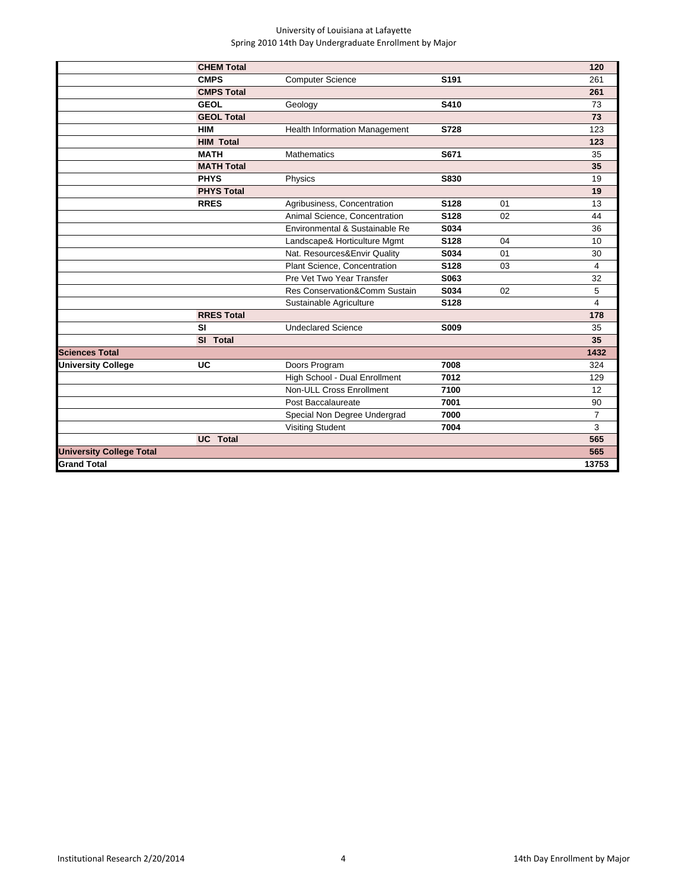|                                 | <b>CHEM Total</b> |                                      |                  |    | 120            |
|---------------------------------|-------------------|--------------------------------------|------------------|----|----------------|
|                                 | <b>CMPS</b>       | <b>Computer Science</b>              | S <sub>191</sub> |    | 261            |
|                                 | <b>CMPS Total</b> |                                      |                  |    | 261            |
|                                 | <b>GEOL</b>       | Geology                              | S410             |    | 73             |
|                                 | <b>GEOL Total</b> |                                      |                  |    | 73             |
|                                 | <b>HIM</b>        | <b>Health Information Management</b> | S728             |    | 123            |
|                                 | <b>HIM Total</b>  |                                      |                  |    | 123            |
|                                 | <b>MATH</b>       | <b>Mathematics</b>                   | S671             |    | 35             |
|                                 | <b>MATH Total</b> |                                      |                  |    | 35             |
|                                 | <b>PHYS</b>       | Physics                              | S830             |    | 19             |
|                                 | <b>PHYS Total</b> |                                      |                  |    | 19             |
|                                 | <b>RRES</b>       | Agribusiness, Concentration          | S128             | 01 | 13             |
|                                 |                   | Animal Science, Concentration        | S128             | 02 | 44             |
|                                 |                   | Environmental & Sustainable Re       | S034             |    | 36             |
|                                 |                   | Landscape& Horticulture Mgmt         | S128             | 04 | 10             |
|                                 |                   | Nat. Resources&Envir Quality         | S034             | 01 | 30             |
|                                 |                   | Plant Science, Concentration         | S128             | 03 | 4              |
|                                 |                   | Pre Vet Two Year Transfer            | S063             |    | 32             |
|                                 |                   | Res Conservation&Comm Sustain        | S034             | 02 | 5              |
|                                 |                   | Sustainable Agriculture              | S128             |    | 4              |
|                                 | <b>RRES Total</b> |                                      |                  |    | 178            |
|                                 | <b>SI</b>         | <b>Undeclared Science</b>            | S009             |    | 35             |
|                                 | SI Total          |                                      |                  |    | 35             |
| <b>Sciences Total</b>           |                   |                                      |                  |    | 1432           |
| <b>University College</b>       | UC                | Doors Program                        | 7008             |    | 324            |
|                                 |                   | High School - Dual Enrollment        | 7012             |    | 129            |
|                                 |                   | Non-ULL Cross Enrollment             | 7100             |    | 12             |
|                                 |                   | Post Baccalaureate                   | 7001             |    | 90             |
|                                 |                   | Special Non Degree Undergrad         | 7000             |    | $\overline{7}$ |
|                                 |                   | <b>Visiting Student</b>              | 7004             |    | 3              |
|                                 | <b>UC</b> Total   |                                      |                  |    | 565            |
| <b>University College Total</b> |                   |                                      |                  |    | 565            |
| <b>Grand Total</b>              |                   |                                      |                  |    | 13753          |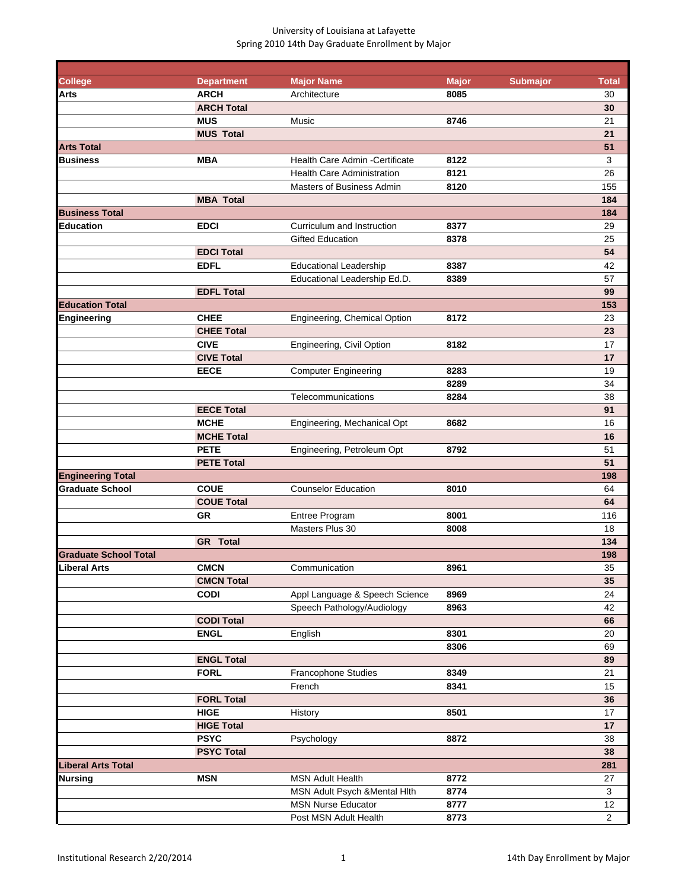| <b>College</b>               | <b>Department</b> | <b>Major Name</b>                 | <b>Major</b> | <b>Submajor</b> | <b>Total</b>   |
|------------------------------|-------------------|-----------------------------------|--------------|-----------------|----------------|
| Arts                         | <b>ARCH</b>       | Architecture                      | 8085         |                 | 30             |
|                              | <b>ARCH Total</b> |                                   |              |                 | 30             |
|                              | <b>MUS</b>        | Music                             | 8746         |                 | 21             |
|                              | <b>MUS Total</b>  |                                   |              |                 | 21             |
| <b>Arts Total</b>            |                   |                                   |              |                 | 51             |
| Business                     | <b>MBA</b>        | Health Care Admin - Certificate   | 8122         |                 | 3              |
|                              |                   | <b>Health Care Administration</b> | 8121         |                 | 26             |
|                              |                   | Masters of Business Admin         | 8120         |                 | 155            |
|                              | <b>MBA Total</b>  |                                   |              |                 | 184            |
| <b>Business Total</b>        |                   |                                   |              |                 | 184            |
| <b>Education</b>             | <b>EDCI</b>       | Curriculum and Instruction        | 8377         |                 | 29             |
|                              |                   | <b>Gifted Education</b>           | 8378         |                 | 25             |
|                              | <b>EDCI Total</b> |                                   |              |                 | 54             |
|                              | <b>EDFL</b>       | <b>Educational Leadership</b>     | 8387         |                 | 42             |
|                              |                   | Educational Leadership Ed.D.      | 8389         |                 | 57             |
|                              | <b>EDFL Total</b> |                                   |              |                 | 99             |
| <b>Education Total</b>       |                   |                                   |              |                 | 153            |
| Engineering                  | <b>CHEE</b>       | Engineering, Chemical Option      | 8172         |                 | 23             |
|                              | <b>CHEE Total</b> |                                   |              |                 | 23             |
|                              | <b>CIVE</b>       | Engineering, Civil Option         | 8182         |                 | 17             |
|                              | <b>CIVE Total</b> |                                   |              |                 | 17             |
|                              | <b>EECE</b>       |                                   |              |                 | 19             |
|                              |                   | <b>Computer Engineering</b>       | 8283         |                 |                |
|                              |                   |                                   | 8289         |                 | 34             |
|                              |                   | Telecommunications                | 8284         |                 | 38             |
|                              | <b>EECE Total</b> |                                   |              |                 | 91             |
|                              | <b>MCHE</b>       | Engineering, Mechanical Opt       | 8682         |                 | 16             |
|                              | <b>MCHE Total</b> |                                   |              |                 | 16             |
|                              | <b>PETE</b>       | Engineering, Petroleum Opt        | 8792         |                 | 51             |
|                              | <b>PETE Total</b> |                                   |              |                 | 51             |
| <b>Engineering Total</b>     |                   |                                   |              |                 | 198            |
| <b>Graduate School</b>       | <b>COUE</b>       | <b>Counselor Education</b>        | 8010         |                 | 64             |
|                              | <b>COUE Total</b> |                                   |              |                 | 64             |
|                              | <b>GR</b>         | Entree Program                    | 8001         |                 | 116            |
|                              |                   | Masters Plus 30                   | 8008         |                 | 18             |
|                              | <b>GR</b> Total   |                                   |              |                 | 134            |
| <b>Graduate School Total</b> |                   |                                   |              |                 | 198            |
| <b>Liberal Arts</b>          | <b>CMCN</b>       | Communication                     | 8961         |                 | 35             |
|                              | <b>CMCN Total</b> |                                   |              |                 | 35             |
|                              | <b>CODI</b>       | Appl Language & Speech Science    | 8969         |                 | 24             |
|                              |                   | Speech Pathology/Audiology        | 8963         |                 | 42             |
|                              | <b>CODI Total</b> |                                   |              |                 | 66             |
|                              | <b>ENGL</b>       | English                           | 8301         |                 | 20             |
|                              |                   |                                   | 8306         |                 | 69             |
|                              | <b>ENGL Total</b> |                                   |              |                 | 89             |
|                              | <b>FORL</b>       | Francophone Studies               | 8349         |                 | 21             |
|                              |                   | French                            | 8341         |                 | 15             |
|                              | <b>FORL Total</b> |                                   |              |                 | 36             |
|                              | <b>HIGE</b>       | History                           | 8501         |                 | 17             |
|                              | <b>HIGE Total</b> |                                   |              |                 | 17             |
|                              | <b>PSYC</b>       | Psychology                        | 8872         |                 | 38             |
|                              | <b>PSYC Total</b> |                                   |              |                 | 38             |
| <b>Liberal Arts Total</b>    |                   |                                   |              |                 | 281            |
|                              | <b>MSN</b>        | <b>MSN Adult Health</b>           | 8772         |                 | 27             |
| Nursing                      |                   |                                   |              |                 |                |
|                              |                   | MSN Adult Psych & Mental Hith     | 8774         |                 | 3              |
|                              |                   | <b>MSN Nurse Educator</b>         | 8777         |                 | 12             |
|                              |                   | Post MSN Adult Health             | 8773         |                 | $\overline{c}$ |